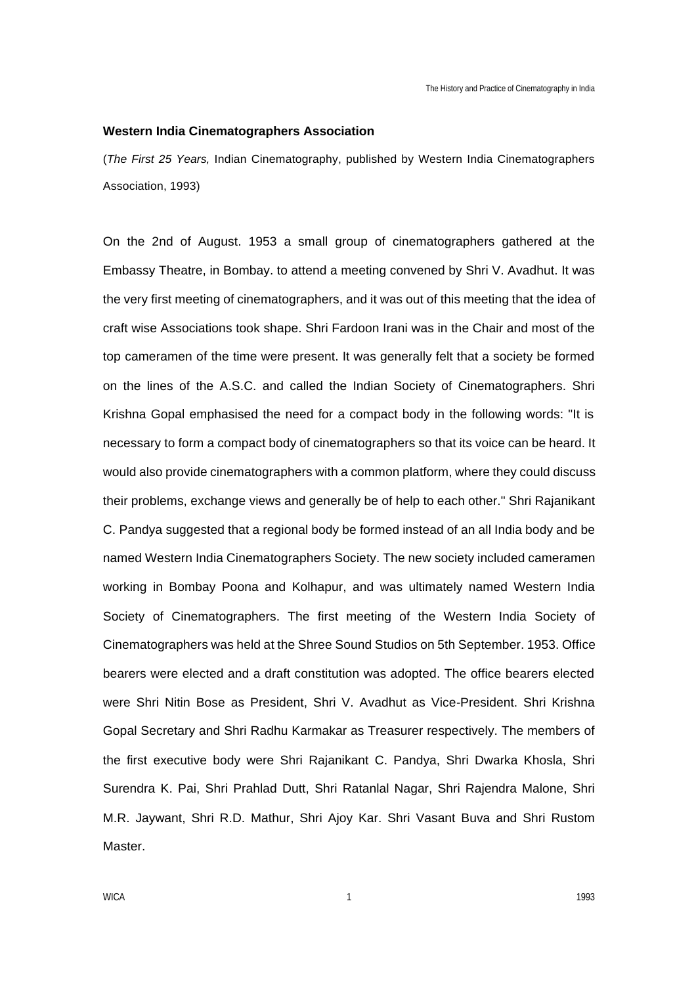#### **Western India Cinematographers Association**

(*The First 25 Years,* Indian Cinematography, published by Western India Cinematographers Association, 1993)

On the 2nd of August. 1953 a small group of cinematographers gathered at the Embassy Theatre, in Bombay. to attend a meeting convened by Shri V. Avadhut. It was the very first meeting of cinematographers, and it was out of this meeting that the idea of craft wise Associations took shape. Shri Fardoon Irani was in the Chair and most of the top cameramen of the time were present. It was generally felt that a society be formed on the lines of the A.S.C. and called the Indian Society of Cinematographers. Shri Krishna Gopal emphasised the need for a compact body in the following words: "It is necessary to form a compact body of cinematographers so that its voice can be heard. It would also provide cinematographers with a common platform, where they could discuss their problems, exchange views and generally be of help to each other." Shri Rajanikant C. Pandya suggested that a regional body be formed instead of an all India body and be named Western India Cinematographers Society. The new society included cameramen working in Bombay Poona and Kolhapur, and was ultimately named Western India Society of Cinematographers. The first meeting of the Western India Society of Cinematographers was held at the Shree Sound Studios on 5th September. 1953. Office bearers were elected and a draft constitution was adopted. The office bearers elected were Shri Nitin Bose as President, Shri V. Avadhut as Vice-President. Shri Krishna Gopal Secretary and Shri Radhu Karmakar as Treasurer respectively. The members of the first executive body were Shri Rajanikant C. Pandya, Shri Dwarka Khosla, Shri Surendra K. Pai, Shri Prahlad Dutt, Shri Ratanlal Nagar, Shri Rajendra Malone, Shri M.R. Jaywant, Shri R.D. Mathur, Shri Ajoy Kar. Shri Vasant Buva and Shri Rustom Master.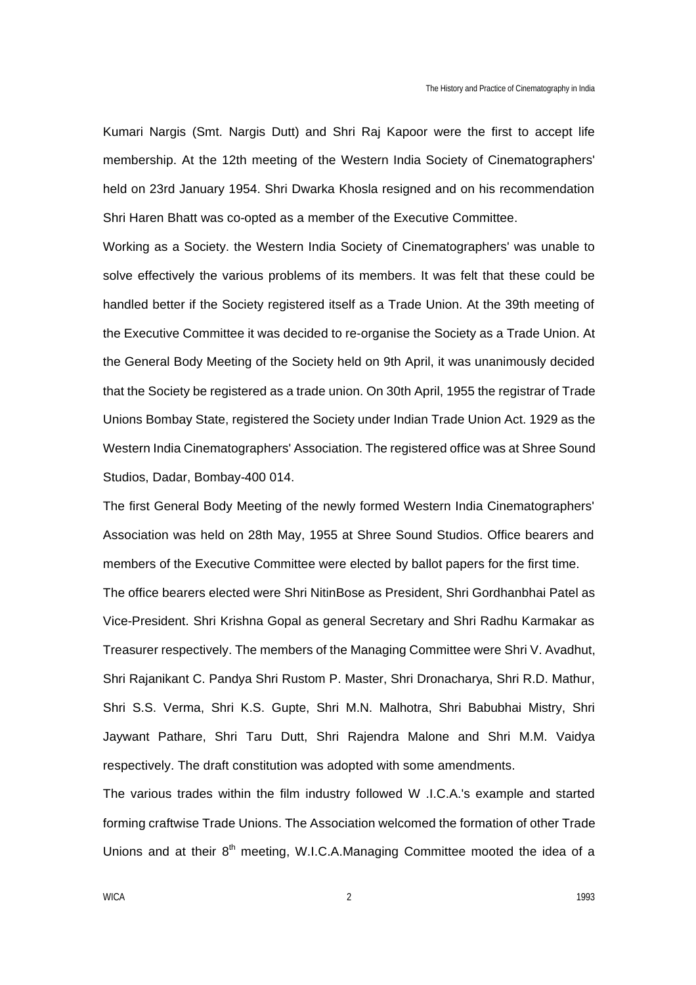Kumari Nargis (Smt. Nargis Dutt) and Shri Raj Kapoor were the first to accept life membership. At the 12th meeting of the Western India Society of Cinematographers' held on 23rd January 1954. Shri Dwarka Khosla resigned and on his recommendation Shri Haren Bhatt was co-opted as a member of the Executive Committee.

Working as a Society. the Western India Society of Cinematographers' was unable to solve effectively the various problems of its members. It was felt that these could be handled better if the Society registered itself as a Trade Union. At the 39th meeting of the Executive Committee it was decided to re-organise the Society as a Trade Union. At the General Body Meeting of the Society held on 9th April, it was unanimously decided that the Society be registered as a trade union. On 30th April, 1955 the registrar of Trade Unions Bombay State, registered the Society under Indian Trade Union Act. 1929 as the Western India Cinematographers' Association. The registered office was at Shree Sound Studios, Dadar, Bombay-400 014.

The first General Body Meeting of the newly formed Western India Cinematographers' Association was held on 28th May, 1955 at Shree Sound Studios. Office bearers and members of the Executive Committee were elected by ballot papers for the first time. The office bearers elected were Shri NitinBose as President, Shri Gordhanbhai Patel as Vice-President. Shri Krishna Gopal as general Secretary and Shri Radhu Karmakar as Treasurer respectively. The members of the Managing Committee were Shri V. Avadhut, Shri Rajanikant C. Pandya Shri Rustom P. Master, Shri Dronacharya, Shri R.D. Mathur, Shri S.S. Verma, Shri K.S. Gupte, Shri M.N. Malhotra, Shri Babubhai Mistry, Shri Jaywant Pathare, Shri Taru Dutt, Shri Rajendra Malone and Shri M.M. Vaidya respectively. The draft constitution was adopted with some amendments.

The various trades within the film industry followed W .I.C.A.'s example and started forming craftwise Trade Unions. The Association welcomed the formation of other Trade Unions and at their  $8<sup>th</sup>$  meeting, W.I.C.A.Managing Committee mooted the idea of a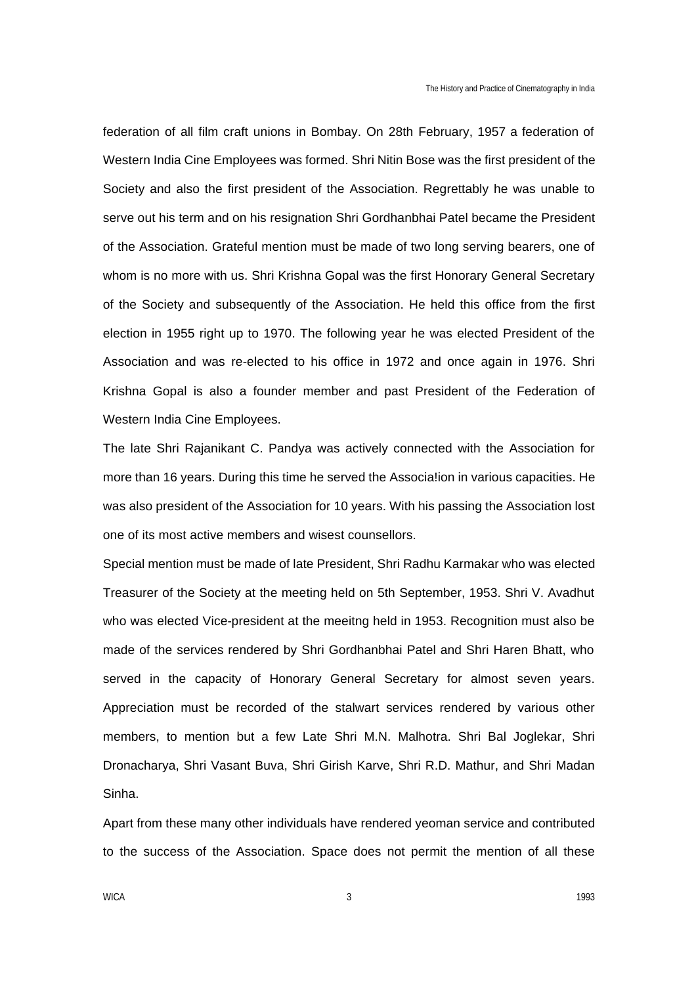federation of all film craft unions in Bombay. On 28th February, 1957 a federation of Western India Cine Employees was formed. Shri Nitin Bose was the first president of the Society and also the first president of the Association. Regrettably he was unable to serve out his term and on his resignation Shri Gordhanbhai Patel became the President of the Association. Grateful mention must be made of two long serving bearers, one of whom is no more with us. Shri Krishna Gopal was the first Honorary General Secretary of the Society and subsequently of the Association. He held this office from the first election in 1955 right up to 1970. The following year he was elected President of the Association and was re-elected to his office in 1972 and once again in 1976. Shri Krishna Gopal is also a founder member and past President of the Federation of Western India Cine Employees.

The late Shri Rajanikant C. Pandya was actively connected with the Association for more than 16 years. During this time he served the Associa!ion in various capacities. He was also president of the Association for 10 years. With his passing the Association lost one of its most active members and wisest counsellors.

Special mention must be made of late President, Shri Radhu Karmakar who was elected Treasurer of the Society at the meeting held on 5th September, 1953. Shri V. Avadhut who was elected Vice-president at the meeitng held in 1953. Recognition must also be made of the services rendered by Shri Gordhanbhai Patel and Shri Haren Bhatt, who served in the capacity of Honorary General Secretary for almost seven years. Appreciation must be recorded of the stalwart services rendered by various other members, to mention but a few Late Shri M.N. Malhotra. Shri Bal Joglekar, Shri Dronacharya, Shri Vasant Buva, Shri Girish Karve, Shri R.D. Mathur, and Shri Madan Sinha.

Apart from these many other individuals have rendered yeoman service and contributed to the success of the Association. Space does not permit the mention of all these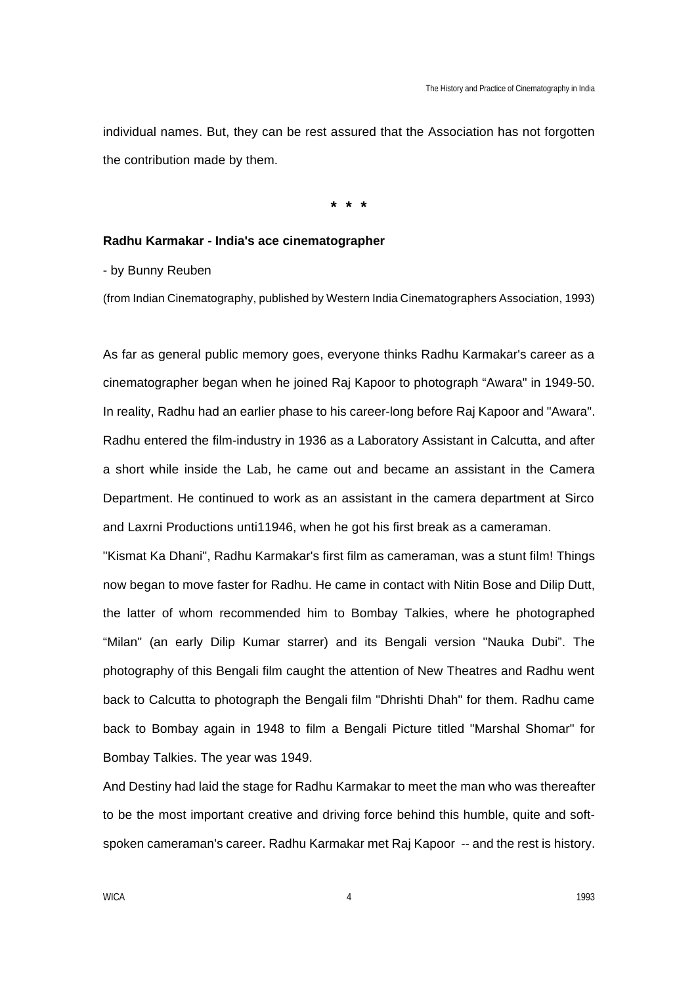individual names. But, they can be rest assured that the Association has not forgotten the contribution made by them.

**\* \* \***

### **Radhu Karmakar - India's ace cinematographer**

- by Bunny Reuben

(from Indian Cinematography, published by Western India Cinematographers Association, 1993)

As far as general public memory goes, everyone thinks Radhu Karmakar's career as a cinematographer began when he joined Raj Kapoor to photograph "Awara" in 1949-50. In reality, Radhu had an earlier phase to his career-long before Raj Kapoor and "Awara". Radhu entered the film-industry in 1936 as a Laboratory Assistant in Calcutta, and after a short while inside the Lab, he came out and became an assistant in the Camera Department. He continued to work as an assistant in the camera department at Sirco and Laxrni Productions unti11946, when he got his first break as a cameraman.

"Kismat Ka Dhani", Radhu Karmakar's first film as cameraman, was a stunt film! Things now began to move faster for Radhu. He came in contact with Nitin Bose and Dilip Dutt, the latter of whom recommended him to Bombay Talkies, where he photographed "Milan" (an early Dilip Kumar starrer) and its Bengali version "Nauka Dubi". The photography of this Bengali film caught the attention of New Theatres and Radhu went back to Calcutta to photograph the Bengali film "Dhrishti Dhah" for them. Radhu came back to Bombay again in 1948 to film a Bengali Picture titled "Marshal Shomar" for Bombay Talkies. The year was 1949.

And Destiny had laid the stage for Radhu Karmakar to meet the man who was thereafter to be the most important creative and driving force behind this humble, quite and softspoken cameraman's career. Radhu Karmakar met Raj Kapoor -- and the rest is history.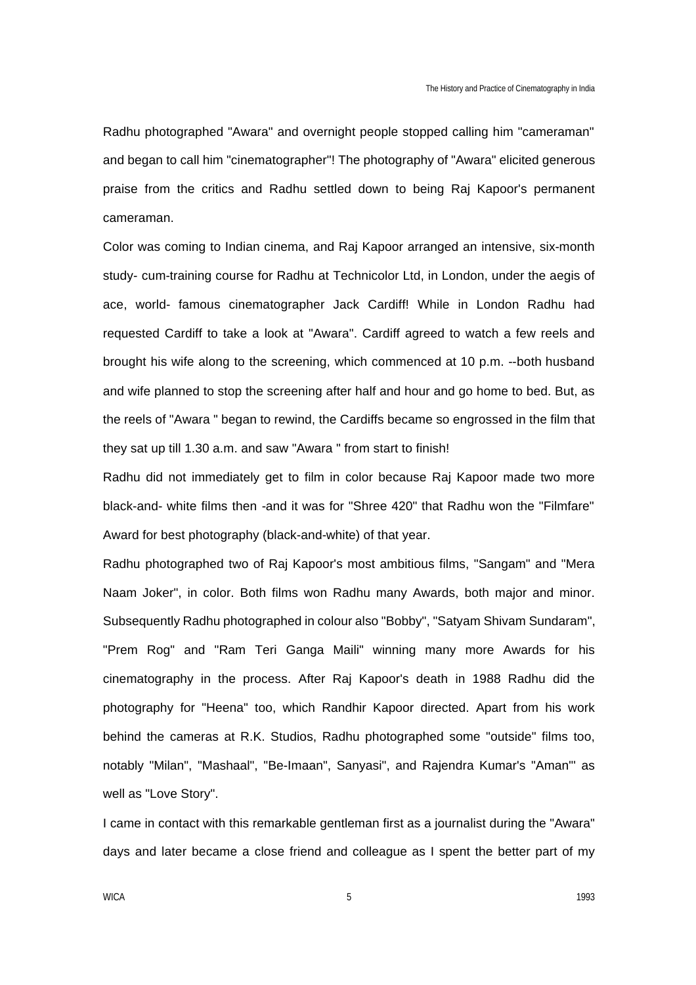Radhu photographed "Awara" and overnight people stopped calling him "cameraman" and began to call him "cinematographer"! The photography of "Awara" elicited generous praise from the critics and Radhu settled down to being Raj Kapoor's permanent cameraman.

Color was coming to Indian cinema, and Raj Kapoor arranged an intensive, six-month study- cum-training course for Radhu at Technicolor Ltd, in London, under the aegis of ace, world- famous cinematographer Jack Cardiff! While in London Radhu had requested Cardiff to take a look at "Awara". Cardiff agreed to watch a few reels and brought his wife along to the screening, which commenced at 10 p.m. --both husband and wife planned to stop the screening after half and hour and go home to bed. But, as the reels of "Awara " began to rewind, the Cardiffs became so engrossed in the film that they sat up till 1.30 a.m. and saw "Awara " from start to finish!

Radhu did not immediately get to film in color because Raj Kapoor made two more black-and- white films then -and it was for "Shree 420" that Radhu won the "Filmfare" Award for best photography (black-and-white) of that year.

Radhu photographed two of Raj Kapoor's most ambitious films, "Sangam" and "Mera Naam Joker", in color. Both films won Radhu many Awards, both major and minor. Subsequently Radhu photographed in colour also "Bobby", "Satyam Shivam Sundaram", "Prem Rog" and "Ram Teri Ganga Maili" winning many more Awards for his cinematography in the process. After Raj Kapoor's death in 1988 Radhu did the photography for "Heena" too, which Randhir Kapoor directed. Apart from his work behind the cameras at R.K. Studios, Radhu photographed some "outside" films too, notably "Milan", "Mashaal", "Be-Imaan", Sanyasi", and Rajendra Kumar's "Aman"' as well as "Love Story".

I came in contact with this remarkable gentleman first as a journalist during the "Awara" days and later became a close friend and colleague as I spent the better part of my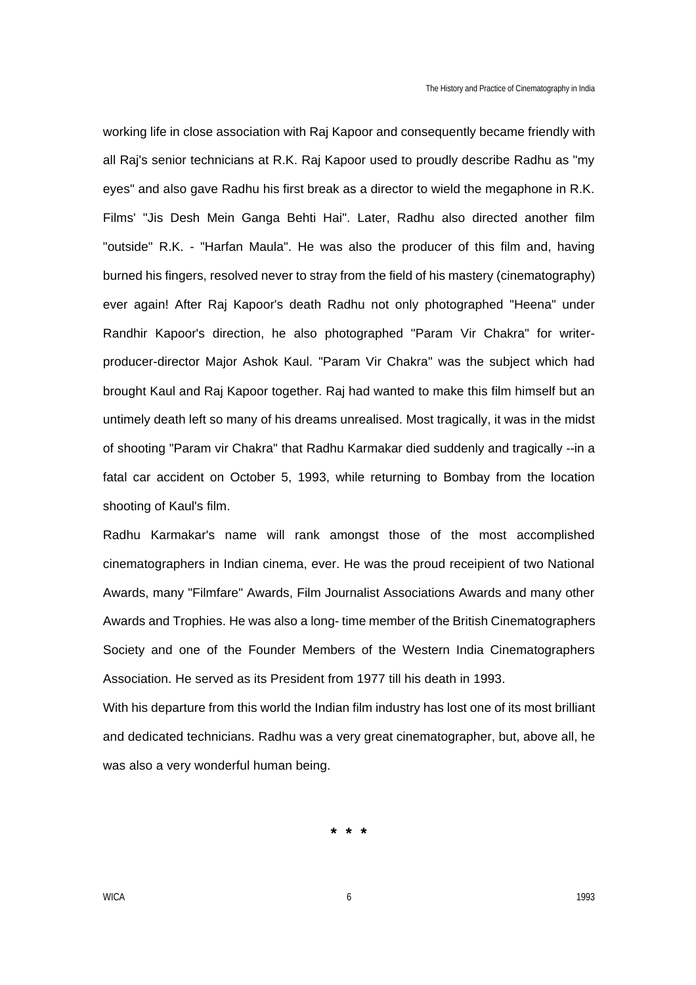working life in close association with Raj Kapoor and consequently became friendly with all Raj's senior technicians at R.K. Raj Kapoor used to proudly describe Radhu as "my eyes" and also gave Radhu his first break as a director to wield the megaphone in R.K. Films' "Jis Desh Mein Ganga Behti Hai". Later, Radhu also directed another film "outside" R.K. - "Harfan Maula". He was also the producer of this film and, having burned his fingers, resolved never to stray from the field of his mastery (cinematography) ever again! After Raj Kapoor's death Radhu not only photographed "Heena" under Randhir Kapoor's direction, he also photographed "Param Vir Chakra" for writerproducer-director Major Ashok Kaul. "Param Vir Chakra" was the subject which had brought Kaul and Raj Kapoor together. Raj had wanted to make this film himself but an untimely death left so many of his dreams unrealised. Most tragically, it was in the midst of shooting "Param vir Chakra" that Radhu Karmakar died suddenly and tragically --in a fatal car accident on October 5, 1993, while returning to Bombay from the location shooting of Kaul's film.

Radhu Karmakar's name will rank amongst those of the most accomplished cinematographers in Indian cinema, ever. He was the proud receipient of two National Awards, many "Filmfare" Awards, Film Journalist Associations Awards and many other Awards and Trophies. He was also a long- time member of the British Cinematographers Society and one of the Founder Members of the Western India Cinematographers Association. He served as its President from 1977 till his death in 1993.

With his departure from this world the Indian film industry has lost one of its most brilliant and dedicated technicians. Radhu was a very great cinematographer, but, above all, he was also a very wonderful human being.

**\* \* \***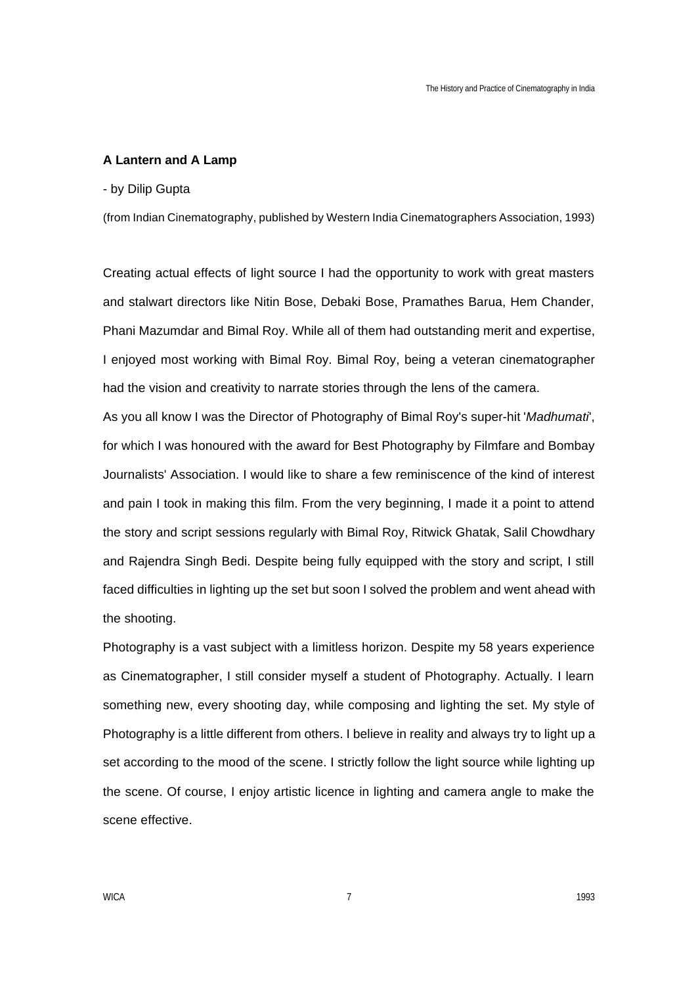### **A Lantern and A Lamp**

### - by Dilip Gupta

(from Indian Cinematography, published by Western India Cinematographers Association, 1993)

Creating actual effects of light source I had the opportunity to work with great masters and stalwart directors like Nitin Bose, Debaki Bose, Pramathes Barua, Hem Chander, Phani Mazumdar and Bimal Roy. While all of them had outstanding merit and expertise, I enjoyed most working with Bimal Roy. Bimal Roy, being a veteran cinematographer had the vision and creativity to narrate stories through the lens of the camera.

As you all know I was the Director of Photography of Bimal Roy's super-hit '*Madhumati*', for which I was honoured with the award for Best Photography by Filmfare and Bombay Journalists' Association. I would like to share a few reminiscence of the kind of interest and pain I took in making this film. From the very beginning, I made it a point to attend the story and script sessions regularly with Bimal Roy, Ritwick Ghatak, Salil Chowdhary and Rajendra Singh Bedi. Despite being fully equipped with the story and script, I still faced difficulties in lighting up the set but soon I solved the problem and went ahead with the shooting.

Photography is a vast subject with a limitless horizon. Despite my 58 years experience as Cinematographer, I still consider myself a student of Photography. Actually. I learn something new, every shooting day, while composing and lighting the set. My style of Photography is a little different from others. I believe in reality and always try to light up a set according to the mood of the scene. I strictly follow the light source while lighting up the scene. Of course, I enjoy artistic licence in lighting and camera angle to make the scene effective.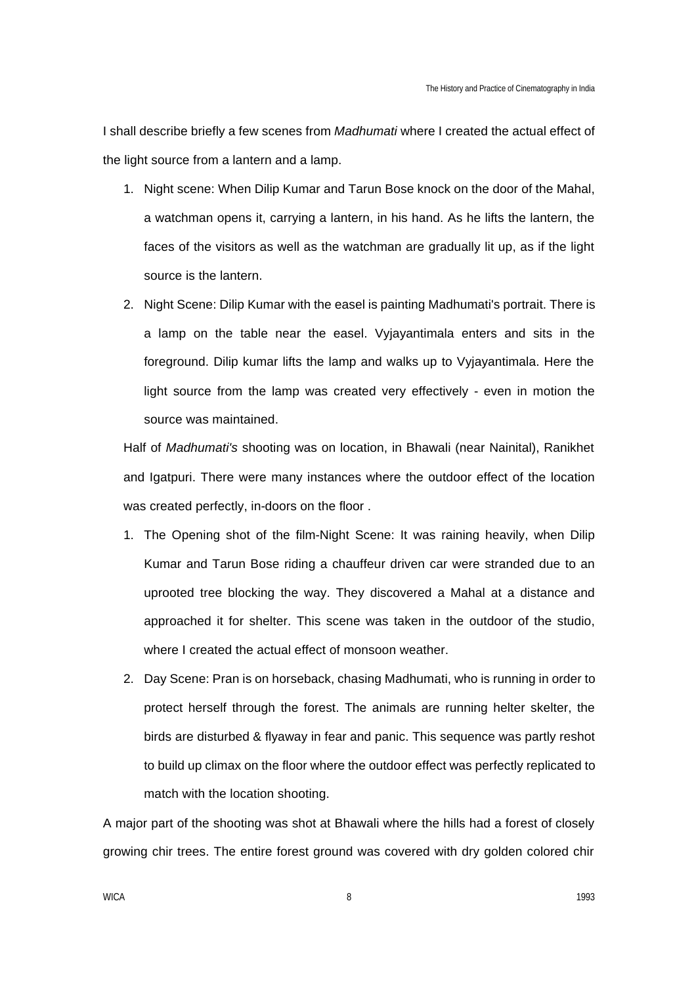I shall describe briefly a few scenes from *Madhumati* where I created the actual effect of the light source from a lantern and a lamp.

- 1. Night scene: When Dilip Kumar and Tarun Bose knock on the door of the Mahal, a watchman opens it, carrying a lantern, in his hand. As he lifts the lantern, the faces of the visitors as well as the watchman are gradually lit up, as if the light source is the lantern.
- 2. Night Scene: Dilip Kumar with the easel is painting Madhumati's portrait. There is a lamp on the table near the easel. Vyjayantimala enters and sits in the foreground. Dilip kumar lifts the lamp and walks up to Vyjayantimala. Here the light source from the lamp was created very effectively - even in motion the source was maintained.

Half of *Madhumati's* shooting was on location, in Bhawali (near Nainital), Ranikhet and Igatpuri. There were many instances where the outdoor effect of the location was created perfectly, in-doors on the floor .

- 1. The Opening shot of the film-Night Scene: It was raining heavily, when Dilip Kumar and Tarun Bose riding a chauffeur driven car were stranded due to an uprooted tree blocking the way. They discovered a Mahal at a distance and approached it for shelter. This scene was taken in the outdoor of the studio, where I created the actual effect of monsoon weather.
- 2. Day Scene: Pran is on horseback, chasing Madhumati, who is running in order to protect herself through the forest. The animals are running helter skelter, the birds are disturbed & flyaway in fear and panic. This sequence was partly reshot to build up climax on the floor where the outdoor effect was perfectly replicated to match with the location shooting.

A major part of the shooting was shot at Bhawali where the hills had a forest of closely growing chir trees. The entire forest ground was covered with dry golden colored chir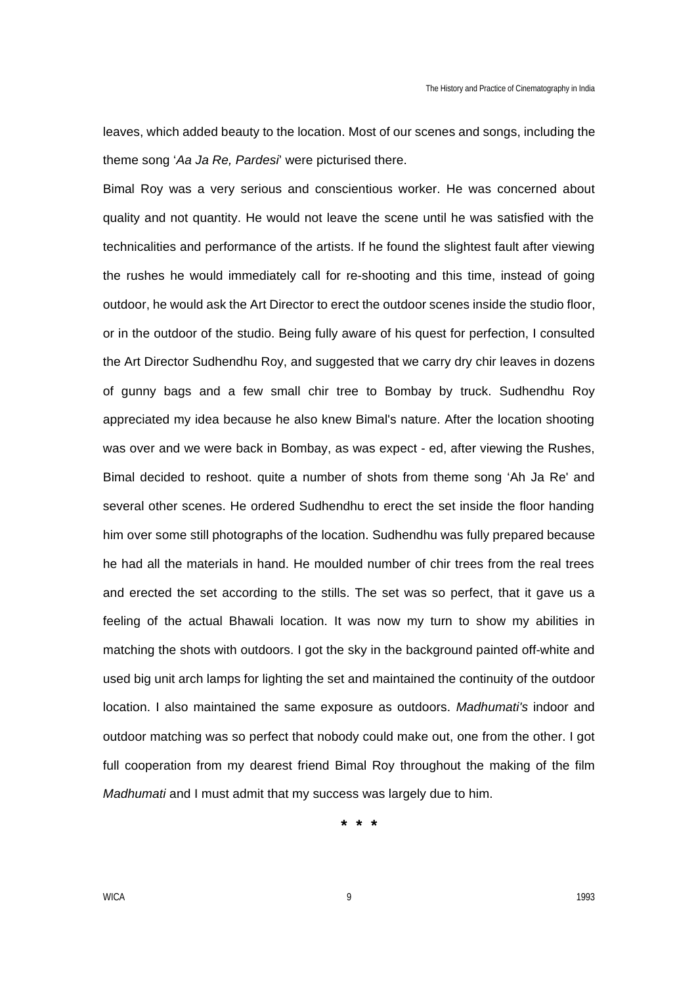leaves, which added beauty to the location. Most of our scenes and songs, including the theme song '*Aa Ja Re, Pardesi*' were picturised there.

Bimal Roy was a very serious and conscientious worker. He was concerned about quality and not quantity. He would not leave the scene until he was satisfied with the technicalities and performance of the artists. If he found the slightest fault after viewing the rushes he would immediately call for re-shooting and this time, instead of going outdoor, he would ask the Art Director to erect the outdoor scenes inside the studio floor, or in the outdoor of the studio. Being fully aware of his quest for perfection, I consulted the Art Director Sudhendhu Roy, and suggested that we carry dry chir leaves in dozens of gunny bags and a few small chir tree to Bombay by truck. Sudhendhu Roy appreciated my idea because he also knew Bimal's nature. After the location shooting was over and we were back in Bombay, as was expect - ed, after viewing the Rushes, Bimal decided to reshoot. quite a number of shots from theme song 'Ah Ja Re' and several other scenes. He ordered Sudhendhu to erect the set inside the floor handing him over some still photographs of the location. Sudhendhu was fully prepared because he had all the materials in hand. He moulded number of chir trees from the real trees and erected the set according to the stills. The set was so perfect, that it gave us a feeling of the actual Bhawali location. It was now my turn to show my abilities in matching the shots with outdoors. I got the sky in the background painted off-white and used big unit arch lamps for lighting the set and maintained the continuity of the outdoor location. I also maintained the same exposure as outdoors. *Madhumati's* indoor and outdoor matching was so perfect that nobody could make out, one from the other. I got full cooperation from my dearest friend Bimal Roy throughout the making of the film *Madhumati* and I must admit that my success was largely due to him.

**\* \* \***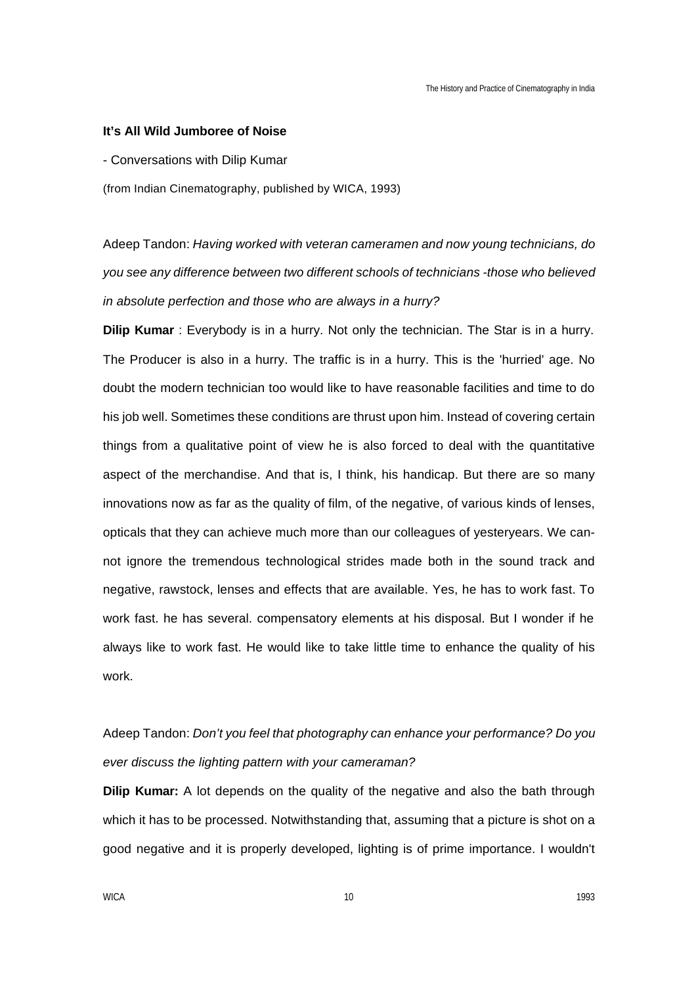#### **It's All Wild Jumboree of Noise**

- Conversations with Dilip Kumar

(from Indian Cinematography, published by WICA, 1993)

Adeep Tandon: *Having worked with veteran cameramen and now young technicians, do you see any difference between two different schools of technicians -those who believed in absolute perfection and those who are always in a hurry?* 

**Dilip Kumar** : Everybody is in a hurry. Not only the technician. The Star is in a hurry. The Producer is also in a hurry. The traffic is in a hurry. This is the 'hurried' age. No doubt the modern technician too would like to have reasonable facilities and time to do his job well. Sometimes these conditions are thrust upon him. Instead of covering certain things from a qualitative point of view he is also forced to deal with the quantitative aspect of the merchandise. And that is, I think, his handicap. But there are so many innovations now as far as the quality of film, of the negative, of various kinds of lenses, opticals that they can achieve much more than our colleagues of yesteryears. We cannot ignore the tremendous technological strides made both in the sound track and negative, rawstock, lenses and effects that are available. Yes, he has to work fast. To work fast. he has several. compensatory elements at his disposal. But I wonder if he always like to work fast. He would like to take little time to enhance the quality of his work.

# Adeep Tandon: *Don't you feel that photography can enhance your performance? Do you ever discuss the lighting pattern with your cameraman?*

**Dilip Kumar:** A lot depends on the quality of the negative and also the bath through which it has to be processed. Notwithstanding that, assuming that a picture is shot on a good negative and it is properly developed, lighting is of prime importance. I wouldn't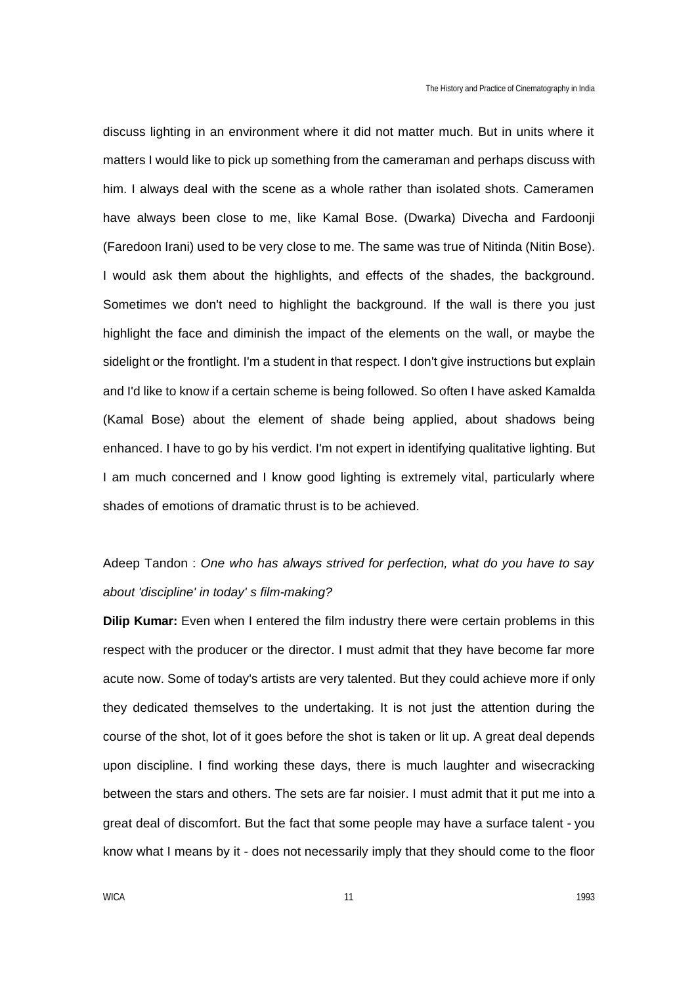discuss lighting in an environment where it did not matter much. But in units where it matters I would like to pick up something from the cameraman and perhaps discuss with him. I always deal with the scene as a whole rather than isolated shots. Cameramen have always been close to me, like Kamal Bose. (Dwarka) Divecha and Fardoonji (Faredoon Irani) used to be very close to me. The same was true of Nitinda (Nitin Bose). I would ask them about the highlights, and effects of the shades, the background. Sometimes we don't need to highlight the background. If the wall is there you just highlight the face and diminish the impact of the elements on the wall, or maybe the sidelight or the frontlight. I'm a student in that respect. I don't give instructions but explain and I'd like to know if a certain scheme is being followed. So often I have asked Kamalda (Kamal Bose) about the element of shade being applied, about shadows being enhanced. I have to go by his verdict. I'm not expert in identifying qualitative lighting. But I am much concerned and I know good lighting is extremely vital, particularly where shades of emotions of dramatic thrust is to be achieved.

# Adeep Tandon : *One who has always strived for perfection, what do you have to say about 'discipline' in today' s film-making?*

**Dilip Kumar:** Even when I entered the film industry there were certain problems in this respect with the producer or the director. I must admit that they have become far more acute now. Some of today's artists are very talented. But they could achieve more if only they dedicated themselves to the undertaking. It is not just the attention during the course of the shot, lot of it goes before the shot is taken or lit up. A great deal depends upon discipline. I find working these days, there is much laughter and wisecracking between the stars and others. The sets are far noisier. I must admit that it put me into a great deal of discomfort. But the fact that some people may have a surface talent - you know what I means by it - does not necessarily imply that they should come to the floor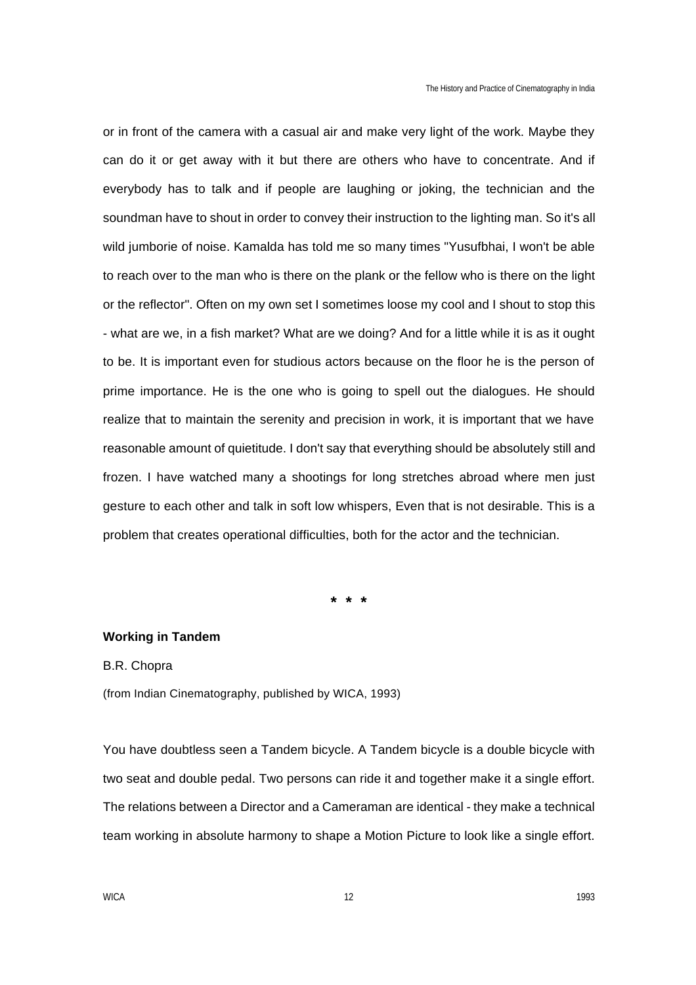or in front of the camera with a casual air and make very light of the work. Maybe they can do it or get away with it but there are others who have to concentrate. And if everybody has to talk and if people are laughing or joking, the technician and the soundman have to shout in order to convey their instruction to the lighting man. So it's all wild jumborie of noise. Kamalda has told me so many times "Yusufbhai, I won't be able to reach over to the man who is there on the plank or the fellow who is there on the light or the reflector". Often on my own set I sometimes loose my cool and I shout to stop this - what are we, in a fish market? What are we doing? And for a little while it is as it ought to be. It is important even for studious actors because on the floor he is the person of prime importance. He is the one who is going to spell out the dialogues. He should realize that to maintain the serenity and precision in work, it is important that we have reasonable amount of quietitude. I don't say that everything should be absolutely still and frozen. I have watched many a shootings for long stretches abroad where men just gesture to each other and talk in soft low whispers, Even that is not desirable. This is a problem that creates operational difficulties, both for the actor and the technician.

**\* \* \***

### **Working in Tandem**

### B.R. Chopra

(from Indian Cinematography, published by WICA, 1993)

You have doubtless seen a Tandem bicycle. A Tandem bicycle is a double bicycle with two seat and double pedal. Two persons can ride it and together make it a single effort. The relations between a Director and a Cameraman are identical - they make a technical team working in absolute harmony to shape a Motion Picture to look like a single effort.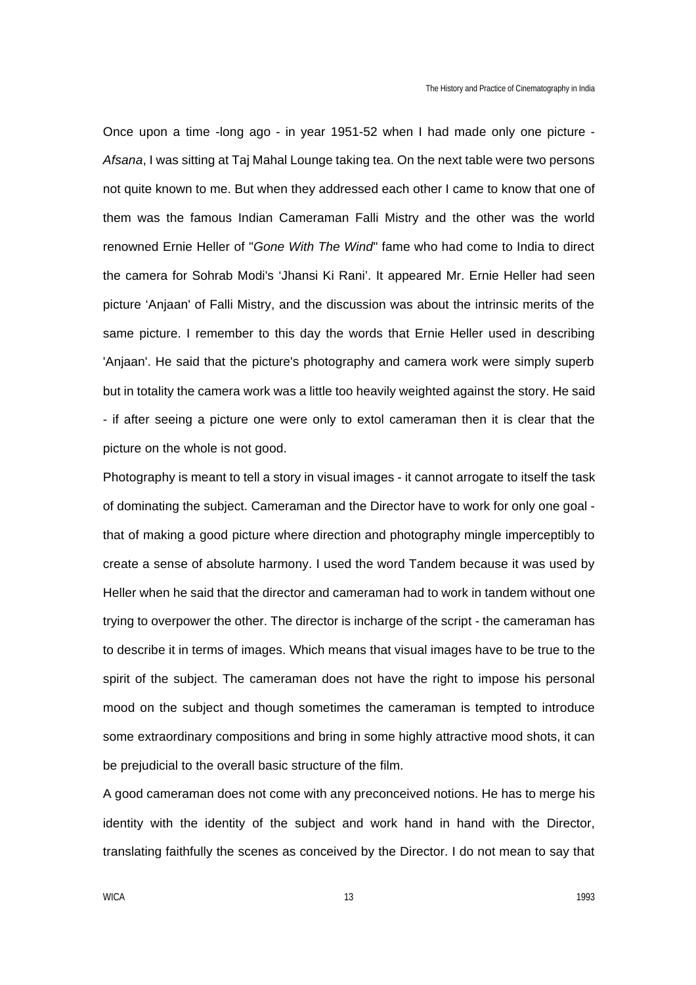Once upon a time -long ago - in year 1951-52 when I had made only one picture - *Afsana*, I was sitting at Taj Mahal Lounge taking tea. On the next table were two persons not quite known to me. But when they addressed each other I came to know that one of them was the famous Indian Cameraman Falli Mistry and the other was the world renowned Ernie Heller of "*Gone With The Wind*" fame who had come to India to direct the camera for Sohrab Modi's 'Jhansi Ki Rani'. It appeared Mr. Ernie Heller had seen picture 'Anjaan' of Falli Mistry, and the discussion was about the intrinsic merits of the same picture. I remember to this day the words that Ernie Heller used in describing 'Anjaan'. He said that the picture's photography and camera work were simply superb but in totality the camera work was a little too heavily weighted against the story. He said - if after seeing a picture one were only to extol cameraman then it is clear that the picture on the whole is not good.

Photography is meant to tell a story in visual images - it cannot arrogate to itself the task of dominating the subject. Cameraman and the Director have to work for only one goal that of making a good picture where direction and photography mingle imperceptibly to create a sense of absolute harmony. I used the word Tandem because it was used by Heller when he said that the director and cameraman had to work in tandem without one trying to overpower the other. The director is incharge of the script - the cameraman has to describe it in terms of images. Which means that visual images have to be true to the spirit of the subject. The cameraman does not have the right to impose his personal mood on the subject and though sometimes the cameraman is tempted to introduce some extraordinary compositions and bring in some highly attractive mood shots, it can be prejudicial to the overall basic structure of the film.

A good cameraman does not come with any preconceived notions. He has to merge his identity with the identity of the subject and work hand in hand with the Director, translating faithfully the scenes as conceived by the Director. I do not mean to say that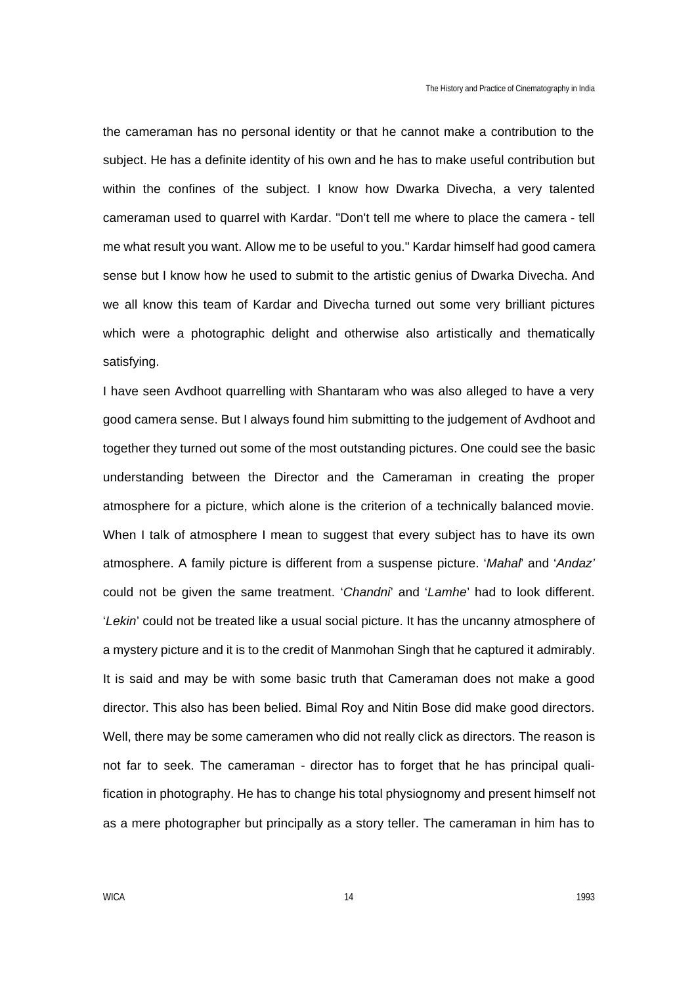the cameraman has no personal identity or that he cannot make a contribution to the subject. He has a definite identity of his own and he has to make useful contribution but within the confines of the subject. I know how Dwarka Divecha, a very talented cameraman used to quarrel with Kardar. "Don't tell me where to place the camera - tell me what result you want. Allow me to be useful to you." Kardar himself had good camera sense but I know how he used to submit to the artistic genius of Dwarka Divecha. And we all know this team of Kardar and Divecha turned out some very brilliant pictures which were a photographic delight and otherwise also artistically and thematically satisfying.

I have seen Avdhoot quarrelling with Shantaram who was also alleged to have a very good camera sense. But I always found him submitting to the judgement of Avdhoot and together they turned out some of the most outstanding pictures. One could see the basic understanding between the Director and the Cameraman in creating the proper atmosphere for a picture, which alone is the criterion of a technically balanced movie. When I talk of atmosphere I mean to suggest that every subject has to have its own atmosphere. A family picture is different from a suspense picture. '*Mahal*' and '*Andaz'* could not be given the same treatment. '*Chandni*' and '*Lamhe*' had to look different. '*Lekin*' could not be treated like a usual social picture. It has the uncanny atmosphere of a mystery picture and it is to the credit of Manmohan Singh that he captured it admirably. It is said and may be with some basic truth that Cameraman does not make a good director. This also has been belied. Bimal Roy and Nitin Bose did make good directors. Well, there may be some cameramen who did not really click as directors. The reason is not far to seek. The cameraman - director has to forget that he has principal qualification in photography. He has to change his total physiognomy and present himself not as a mere photographer but principally as a story teller. The cameraman in him has to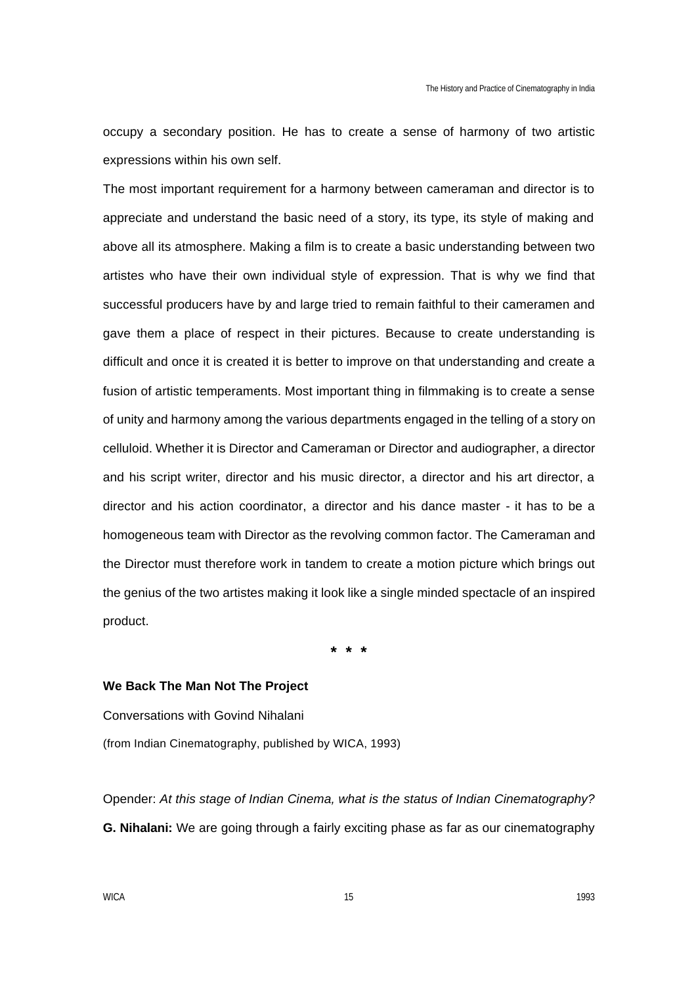occupy a secondary position. He has to create a sense of harmony of two artistic expressions within his own self.

The most important requirement for a harmony between cameraman and director is to appreciate and understand the basic need of a story, its type, its style of making and above all its atmosphere. Making a film is to create a basic understanding between two artistes who have their own individual style of expression. That is why we find that successful producers have by and large tried to remain faithful to their cameramen and gave them a place of respect in their pictures. Because to create understanding is difficult and once it is created it is better to improve on that understanding and create a fusion of artistic temperaments. Most important thing in filmmaking is to create a sense of unity and harmony among the various departments engaged in the telling of a story on celluloid. Whether it is Director and Cameraman or Director and audiographer, a director and his script writer, director and his music director, a director and his art director, a director and his action coordinator, a director and his dance master - it has to be a homogeneous team with Director as the revolving common factor. The Cameraman and the Director must therefore work in tandem to create a motion picture which brings out the genius of the two artistes making it look like a single minded spectacle of an inspired product.

**\* \* \***

### **We Back The Man Not The Project**

Conversations with Govind Nihalani (from Indian Cinematography, published by WICA, 1993)

Opender: *At this stage of Indian Cinema, what is the status of Indian Cinematography?* **G. Nihalani:** We are going through a fairly exciting phase as far as our cinematography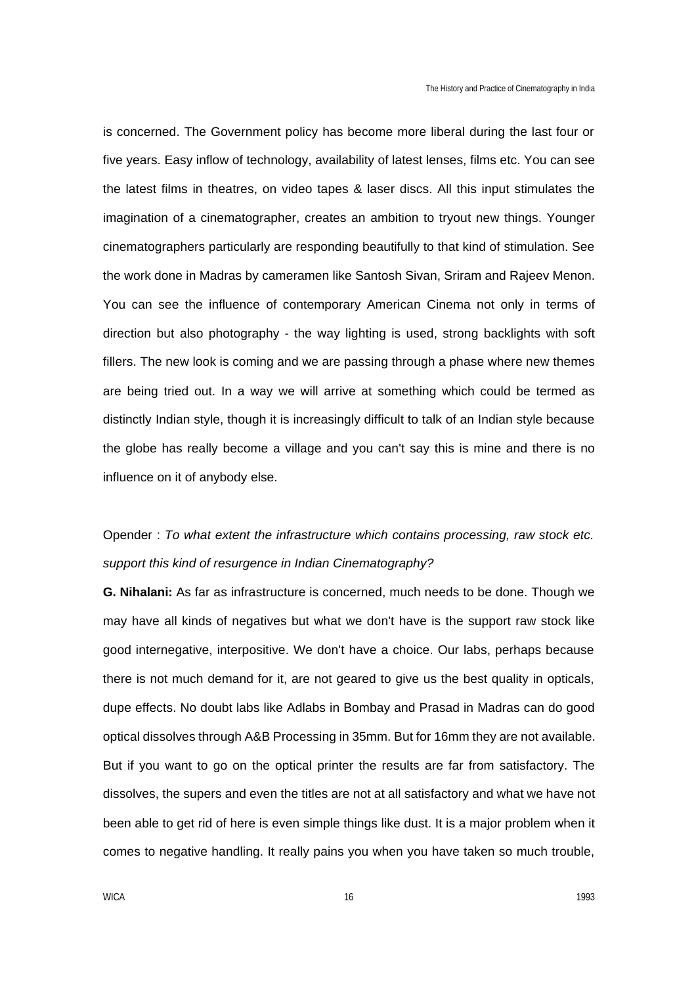is concerned. The Government policy has become more liberal during the last four or five years. Easy inflow of technology, availability of latest lenses, films etc. You can see the latest films in theatres, on video tapes & laser discs. All this input stimulates the imagination of a cinematographer, creates an ambition to tryout new things. Younger cinematographers particularly are responding beautifully to that kind of stimulation. See the work done in Madras by cameramen like Santosh Sivan, Sriram and Rajeev Menon. You can see the influence of contemporary American Cinema not only in terms of direction but also photography - the way lighting is used, strong backlights with soft fillers. The new look is coming and we are passing through a phase where new themes are being tried out. In a way we will arrive at something which could be termed as distinctly Indian style, though it is increasingly difficult to talk of an Indian style because the globe has really become a village and you can't say this is mine and there is no influence on it of anybody else.

# Opender : *To what extent the infrastructure which contains processing, raw stock etc. support this kind of resurgence in Indian Cinematography?*

**G. Nihalani:** As far as infrastructure is concerned, much needs to be done. Though we may have all kinds of negatives but what we don't have is the support raw stock like good internegative, interpositive. We don't have a choice. Our labs, perhaps because there is not much demand for it, are not geared to give us the best quality in opticals, dupe effects. No doubt labs like Adlabs in Bombay and Prasad in Madras can do good optical dissolves through A&B Processing in 35mm. But for 16mm they are not available. But if you want to go on the optical printer the results are far from satisfactory. The dissolves, the supers and even the titles are not at all satisfactory and what we have not been able to get rid of here is even simple things like dust. It is a major problem when it comes to negative handling. It really pains you when you have taken so much trouble,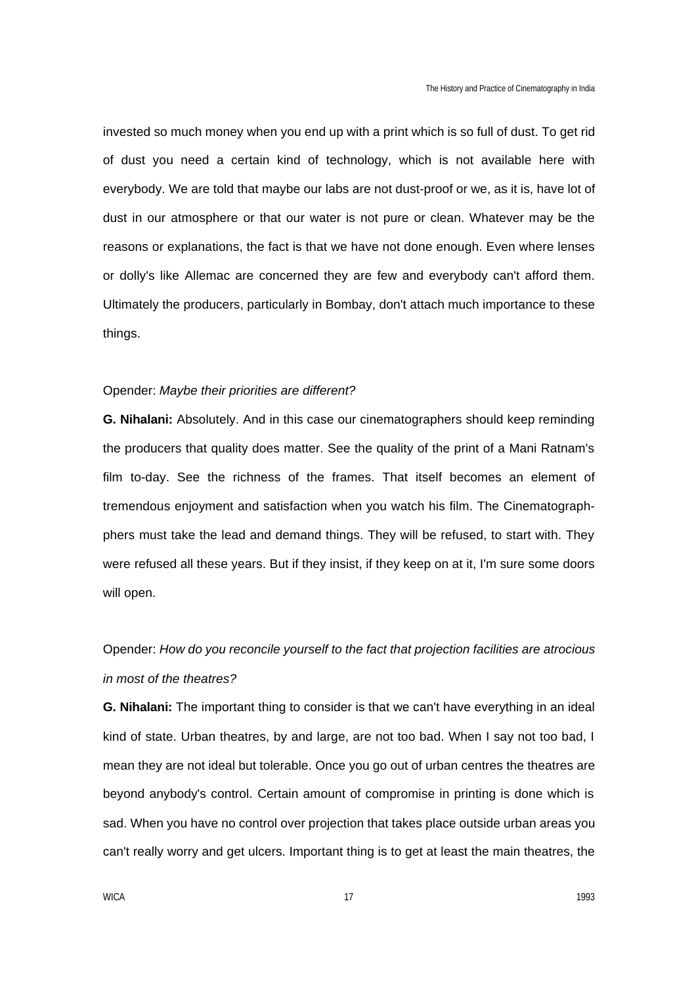invested so much money when you end up with a print which is so full of dust. To get rid of dust you need a certain kind of technology, which is not available here with everybody. We are told that maybe our labs are not dust-proof or we, as it is, have lot of dust in our atmosphere or that our water is not pure or clean. Whatever may be the reasons or explanations, the fact is that we have not done enough. Even where lenses or dolly's like Allemac are concerned they are few and everybody can't afford them. Ultimately the producers, particularly in Bombay, don't attach much importance to these things.

#### Opender: *Maybe their priorities are different?*

**G. Nihalani:** Absolutely. And in this case our cinematographers should keep reminding the producers that quality does matter. See the quality of the print of a Mani Ratnam's film to-day. See the richness of the frames. That itself becomes an element of tremendous enjoyment and satisfaction when you watch his film. The Cinematographphers must take the lead and demand things. They will be refused, to start with. They were refused all these years. But if they insist, if they keep on at it, I'm sure some doors will open.

# Opender: *How do you reconcile yourself to the fact that projection facilities are atrocious in most of the theatres?*

**G. Nihalani:** The important thing to consider is that we can't have everything in an ideal kind of state. Urban theatres, by and large, are not too bad. When I say not too bad, I mean they are not ideal but tolerable. Once you go out of urban centres the theatres are beyond anybody's control. Certain amount of compromise in printing is done which is sad. When you have no control over projection that takes place outside urban areas you can't really worry and get ulcers. Important thing is to get at least the main theatres, the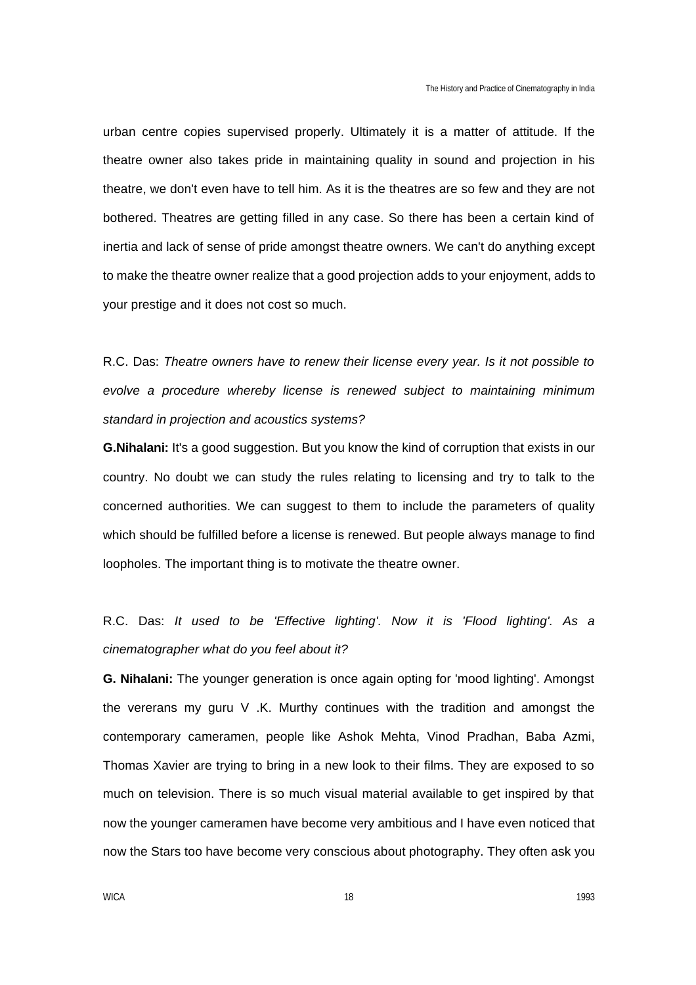urban centre copies supervised properly. Ultimately it is a matter of attitude. If the theatre owner also takes pride in maintaining quality in sound and projection in his theatre, we don't even have to tell him. As it is the theatres are so few and they are not bothered. Theatres are getting filled in any case. So there has been a certain kind of inertia and lack of sense of pride amongst theatre owners. We can't do anything except to make the theatre owner realize that a good projection adds to your enjoyment, adds to your prestige and it does not cost so much.

R.C. Das: *Theatre owners have to renew their license every year. Is it not possible to evolve a procedure whereby license is renewed subject to maintaining minimum standard in projection and acoustics systems?*

**G.Nihalani:** It's a good suggestion. But you know the kind of corruption that exists in our country. No doubt we can study the rules relating to licensing and try to talk to the concerned authorities. We can suggest to them to include the parameters of quality which should be fulfilled before a license is renewed. But people always manage to find loopholes. The important thing is to motivate the theatre owner.

R.C. Das: *It used to be 'Effective lighting'. Now it is 'Flood lighting'. As a cinematographer what do you feel about it?*

**G. Nihalani:** The younger generation is once again opting for 'mood lighting'. Amongst the vererans my guru V .K. Murthy continues with the tradition and amongst the contemporary cameramen, people like Ashok Mehta, Vinod Pradhan, Baba Azmi, Thomas Xavier are trying to bring in a new look to their films. They are exposed to so much on television. There is so much visual material available to get inspired by that now the younger cameramen have become very ambitious and I have even noticed that now the Stars too have become very conscious about photography. They often ask you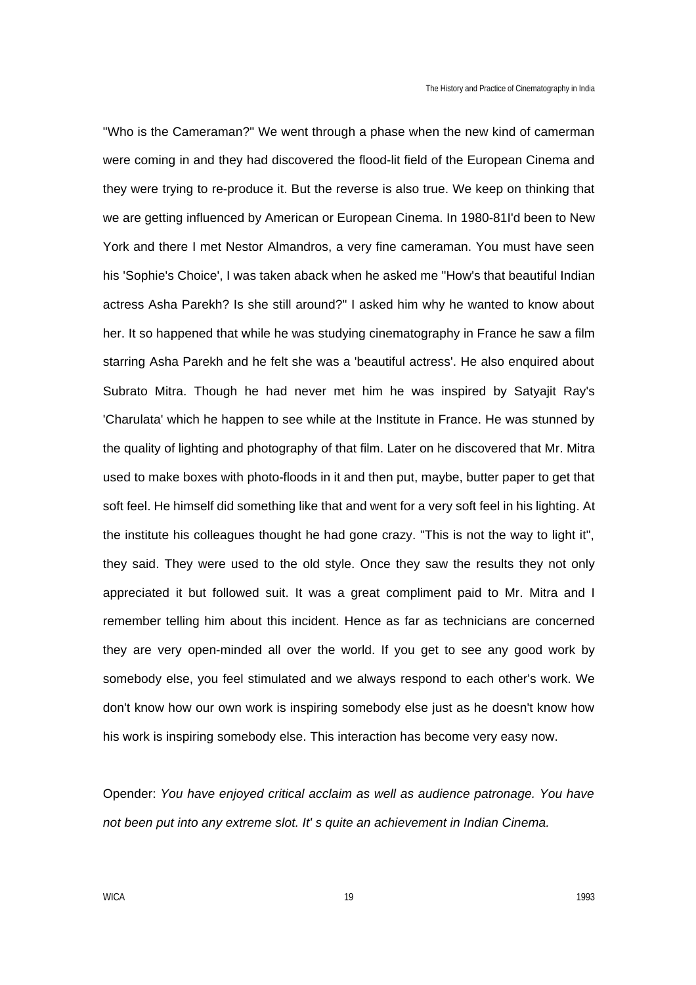"Who is the Cameraman?" We went through a phase when the new kind of camerman were coming in and they had discovered the flood-lit field of the European Cinema and they were trying to re-produce it. But the reverse is also true. We keep on thinking that we are getting influenced by American or European Cinema. In 1980-81I'd been to New York and there I met Nestor Almandros, a very fine cameraman. You must have seen his 'Sophie's Choice', I was taken aback when he asked me "How's that beautiful Indian actress Asha Parekh? Is she still around?" I asked him why he wanted to know about her. It so happened that while he was studying cinematography in France he saw a film starring Asha Parekh and he felt she was a 'beautiful actress'. He also enquired about Subrato Mitra. Though he had never met him he was inspired by Satyajit Ray's 'Charulata' which he happen to see while at the Institute in France. He was stunned by the quality of lighting and photography of that film. Later on he discovered that Mr. Mitra used to make boxes with photo-floods in it and then put, maybe, butter paper to get that soft feel. He himself did something like that and went for a very soft feel in his lighting. At the institute his colleagues thought he had gone crazy. "This is not the way to light it", they said. They were used to the old style. Once they saw the results they not only appreciated it but followed suit. It was a great compliment paid to Mr. Mitra and I remember telling him about this incident. Hence as far as technicians are concerned they are very open-minded all over the world. If you get to see any good work by somebody else, you feel stimulated and we always respond to each other's work. We don't know how our own work is inspiring somebody else just as he doesn't know how his work is inspiring somebody else. This interaction has become very easy now.

Opender: *You have enjoyed critical acclaim as well as audience patronage. You have not been put into any extreme slot. It' s quite an achievement in Indian Cinema.*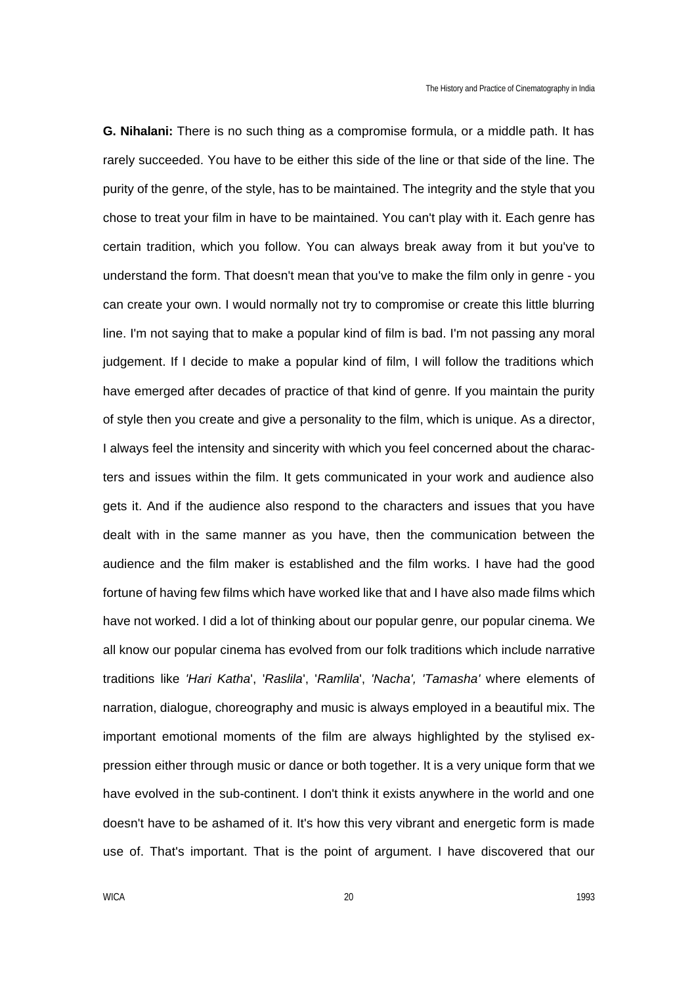**G. Nihalani:** There is no such thing as a compromise formula, or a middle path. It has rarely succeeded. You have to be either this side of the line or that side of the line. The purity of the genre, of the style, has to be maintained. The integrity and the style that you chose to treat your film in have to be maintained. You can't play with it. Each genre has certain tradition, which you follow. You can always break away from it but you've to understand the form. That doesn't mean that you've to make the film only in genre - you can create your own. I would normally not try to compromise or create this little blurring line. I'm not saying that to make a popular kind of film is bad. I'm not passing any moral judgement. If I decide to make a popular kind of film, I will follow the traditions which have emerged after decades of practice of that kind of genre. If you maintain the purity of style then you create and give a personality to the film, which is unique. As a director, I always feel the intensity and sincerity with which you feel concerned about the characters and issues within the film. It gets communicated in your work and audience also gets it. And if the audience also respond to the characters and issues that you have dealt with in the same manner as you have, then the communication between the audience and the film maker is established and the film works. I have had the good fortune of having few films which have worked like that and I have also made films which have not worked. I did a lot of thinking about our popular genre, our popular cinema. We all know our popular cinema has evolved from our folk traditions which include narrative traditions like *'Hari Katha*', '*Raslila*', '*Ramlila*', *'Nacha', 'Tamasha'* where elements of narration, dialogue, choreography and music is always employed in a beautiful mix. The important emotional moments of the film are always highlighted by the stylised expression either through music or dance or both together. It is a very unique form that we have evolved in the sub-continent. I don't think it exists anywhere in the world and one doesn't have to be ashamed of it. It's how this very vibrant and energetic form is made use of. That's important. That is the point of argument. I have discovered that our